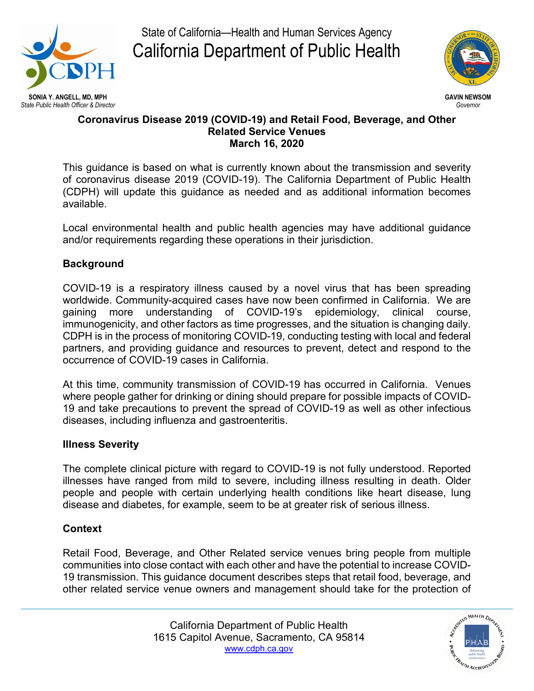

State of California—Health and Human Services Agency California Department of Public Health



#### **Coronavirus Disease 2019 (COVID-19) and Retail Food, Beverage, and Other Related Service Venues March 16, 2020**

This guidance is based on what is currently known about the transmission and severity of coronavirus disease 2019 (COVID-19). The California Department of Public Health (CDPH) will update this guidance as needed and as additional information becomes available.

Local environmental health and public health agencies may have additional guidance and/or requirements regarding these operations in their jurisdiction.

# **Background**

COVID-19 is a respiratory illness caused by a novel virus that has been spreading worldwide. Community-acquired cases have now been confirmed in California. We are gaining more understanding of COVID-19's epidemiology, clinical course, immunogenicity, and other factors as time progresses, and the situation is changing daily. CDPH is in the process of monitoring COVID-19, conducting testing with local and federal partners, and providing guidance and resources to prevent, detect and respond to the occurrence of COVID-19 cases in California.

At this time, community transmission of COVID-19 has occurred in California. Venues where people gather for drinking or dining should prepare for possible impacts of COVID-19 and take precautions to prevent the spread of COVID-19 as well as other infectious diseases, including influenza and gastroenteritis.

### **Illness Severity**

The complete clinical picture with regard to COVID-19 is not fully understood. Reported illnesses have ranged from mild to severe, including illness resulting in death. Older people and people with certain underlying health conditions like heart disease, lung disease and diabetes, for example, seem to be at greater risk of serious illness.

### **Context**

Retail Food, Beverage, and Other Related service venues bring people from multiple communities into close contact with each other and have the potential to increase COVID-19 transmission. This guidance document describes steps that retail food, beverage, and other related service venue owners and management should take for the protection of

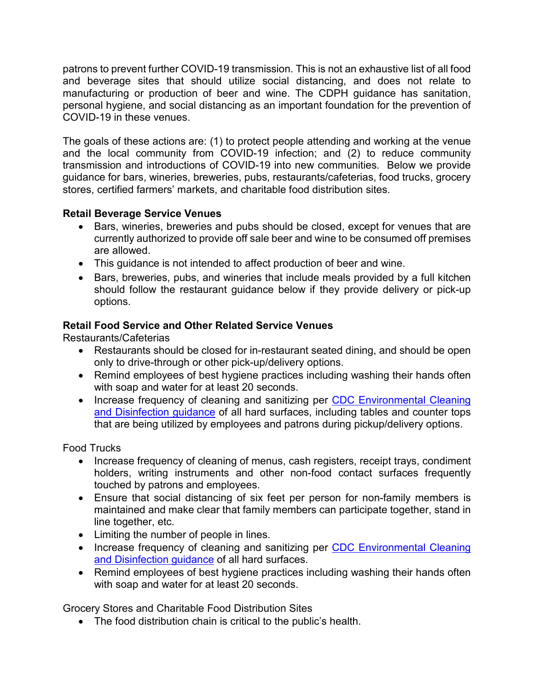patrons to prevent further COVID-19 transmission. This is not an exhaustive list of all food and beverage sites that should utilize social distancing, and does not relate to manufacturing or production of beer and wine. The CDPH guidance has sanitation, personal hygiene, and social distancing as an important foundation for the prevention of COVID-19 in these venues.

The goals of these actions are: (1) to protect people attending and working at the venue and the local community from COVID-19 infection; and (2) to reduce community transmission and introductions of COVID-19 into new communities. Below we provide guidance for bars, wineries, breweries, pubs, restaurants/cafeterias, food trucks, grocery stores, certified farmers' markets, and charitable food distribution sites.

# **Retail Beverage Service Venues**

- Bars, wineries, breweries and pubs should be closed, except for venues that are currently authorized to provide off sale beer and wine to be consumed off premises are allowed.
- This guidance is not intended to affect production of beer and wine.
- Bars, breweries, pubs, and wineries that include meals provided by a full kitchen should follow the restaurant guidance below if they provide delivery or pick-up options.

# **Retail Food Service and Other Related Service Venues**

Restaurants/Cafeterias

- Restaurants should be closed for in-restaurant seated dining, and should be open only to drive-through or other pick-up/delivery options.
- Remind employees of best hygiene practices including washing their hands often with soap and water for at least 20 seconds.
- Increase frequency of cleaning and sanitizing per CDC Environmental Cleaning [and Disinfection guidance](https://www.cdc.gov/coronavirus/2019-ncov/prepare/cleaning-disinfection.html?CDC_AA_refVal=https%3A%2F%2Fwww.cdc.gov%2Fcoronavirus%2F2019-ncov%2Fcommunity%2Fhome%2Fcleaning-disinfection.html) of all hard surfaces, including tables and counter tops that are being utilized by employees and patrons during pickup/delivery options.

### Food Trucks

- Increase frequency of cleaning of menus, cash registers, receipt trays, condiment holders, writing instruments and other non-food contact surfaces frequently touched by patrons and employees.
- Ensure that social distancing of six feet per person for non-family members is maintained and make clear that family members can participate together, stand in line together, etc.
- Limiting the number of people in lines.
- Increase frequency of cleaning and sanitizing per CDC Environmental Cleaning [and Disinfection guidance](https://www.cdc.gov/coronavirus/2019-ncov/prepare/cleaning-disinfection.html?CDC_AA_refVal=https%3A%2F%2Fwww.cdc.gov%2Fcoronavirus%2F2019-ncov%2Fcommunity%2Fhome%2Fcleaning-disinfection.html) of all hard surfaces.
- Remind employees of best hygiene practices including washing their hands often with soap and water for at least 20 seconds.

Grocery Stores and Charitable Food Distribution Sites

• The food distribution chain is critical to the public's health.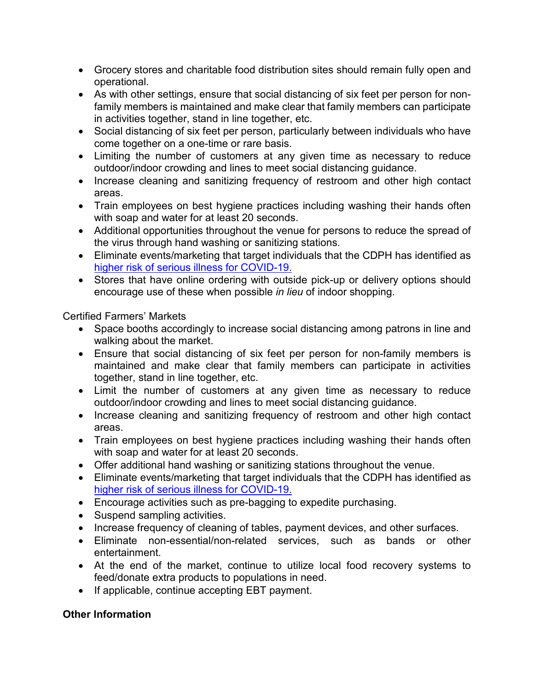- Grocery stores and charitable food distribution sites should remain fully open and operational.
- As with other settings, ensure that social distancing of six feet per person for nonfamily members is maintained and make clear that family members can participate in activities together, stand in line together, etc.
- Social distancing of six feet per person, particularly between individuals who have come together on a one-time or rare basis.
- Limiting the number of customers at any given time as necessary to reduce outdoor/indoor crowding and lines to meet social distancing guidance.
- Increase cleaning and sanitizing frequency of restroom and other high contact areas.
- Train employees on best hygiene practices including washing their hands often with soap and water for at least 20 seconds.
- Additional opportunities throughout the venue for persons to reduce the spread of the virus through hand washing or sanitizing stations.
- Eliminate events/marketing that target individuals that the CDPH has identified as [higher risk of serious illness for COVID-19.](https://www.cdph.ca.gov/Programs/CID/DCDC/CDPH%20Document%20Library/High%20Risk%20Populations%20Guidance%20ADA%20Compliant%2003.11.20.pdf)
- Stores that have online ordering with outside pick-up or delivery options should encourage use of these when possible *in lieu* of indoor shopping.

Certified Farmers' Markets

- Space booths accordingly to increase social distancing among patrons in line and walking about the market.
- Ensure that social distancing of six feet per person for non-family members is maintained and make clear that family members can participate in activities together, stand in line together, etc.
- Limit the number of customers at any given time as necessary to reduce outdoor/indoor crowding and lines to meet social distancing guidance.
- Increase cleaning and sanitizing frequency of restroom and other high contact areas.
- Train employees on best hygiene practices including washing their hands often with soap and water for at least 20 seconds.
- Offer additional hand washing or sanitizing stations throughout the venue.
- Eliminate events/marketing that target individuals that the CDPH has identified as [higher risk of serious illness for COVID-19.](https://www.cdph.ca.gov/Programs/CID/DCDC/CDPH%20Document%20Library/High%20Risk%20Populations%20Guidance%20ADA%20Compliant%2003.11.20.pdf)
- Encourage activities such as pre-bagging to expedite purchasing.
- Suspend sampling activities.
- Increase frequency of cleaning of tables, payment devices, and other surfaces.
- Eliminate non-essential/non-related services, such as bands or other entertainment.
- At the end of the market, continue to utilize local food recovery systems to feed/donate extra products to populations in need.
- If applicable, continue accepting EBT payment.

# **Other Information**